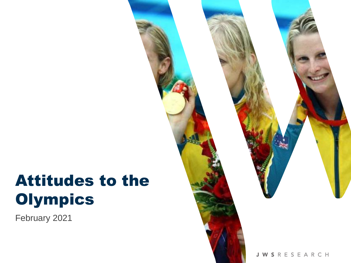# Attitudes to the **Olympics**

February 2021

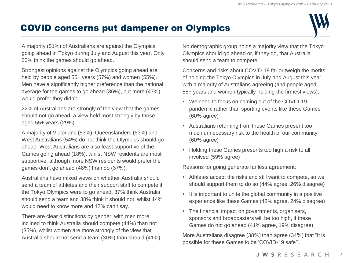#### COVID concerns put dampener on Olympics



A majority (51%) of Australians are against the Olympics going ahead in Tokyo during July and August this year. Only 30% think the games should go ahead.

Strongest opinions against the Olympics going ahead are held by people aged 55+ years (57%) and women (55%). Men have a significantly higher preference than the national average for the games to go ahead (36%), but more (47%) would prefer they didn't.

22% of Australians are strongly of the view that the games should not go ahead, a view held most strongly by those aged 55+ years (29%).

A majority of Victorians (53%), Queenslanders (53%) and West Australians (54%) do not think the Olympics should go ahead. West Australians are also least supportive of the Games going ahead (18%), whilst NSW residents are most supportive, although more NSW residents would prefer the games don't go ahead (48%) than do (37%).

Australians have mixed views on whether Australia should send a team of athletes and their support staff to compete if the Tokyo Olympics were to go ahead. 37% think Australia should send a team and 38% think it should not, whilst 14% would need to know more and 12% can't say.

There are clear distinctions by gender, with men more inclined to think Australia should compete (44%) than not (35%), whilst women are more strongly of the view that Australia should not send a team (30%) than should (41%). No demographic group holds a majority view that the Tokyo Olympics should go ahead or, if they do, that Australia should send a team to compete.

Concerns and risks about COVID-19 far outweigh the merits of holding the Tokyo Olympics in July and August this year, with a majority of Australians agreeing (and people aged 55+ years and women typically holding the firmest views):

- We need to focus on coming out of the COVID-19 pandemic rather than sporting events like these Games (60% agree)
- Australians returning from these Games present too much unnecessary risk to the health of our community (60% agree)
- Holding these Games presents too high a risk to all involved (59% agree)

Reasons for going generate far less agreement:

- Athletes accept the risks and still want to compete, so we should support them to do so (44% agree, 26% disagree)
- It is important to unite the global community in a positive experience like these Games (42% agree, 24% disagree)
- The financial impact on governments, organisers, sponsors and broadcasters will be too high, if these Games do not go ahead (41% agree, 19% disagree)

More Australians disagree (38%) than agree (34%) that "It is possible for these Games to be 'COVID-19 safe'".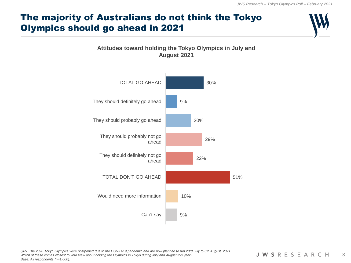## The majority of Australians do not think the Tokyo Olympics should go ahead in 2021



#### **Attitudes toward holding the Tokyo Olympics in July and August 2021**

*Q65. The 2020 Tokyo Olympics were postponed due to the COVID-19 pandemic and are now planned to run 23rd July to 8th August, 2021. Which of these comes closest to your view about holding the Olympics in Tokyo during July and August this year? Base: All respondents (n=1,000).*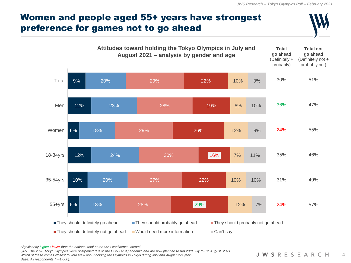#### Women and people aged 55+ years have strongest preference for games not to go ahead



*Significantly higher / lower than the national total at the 95% confidence interval.*

*Q65. The 2020 Tokyo Olympics were postponed due to the COVID-19 pandemic and are now planned to run 23rd July to 8th August, 2021.* 

*Which of these comes closest to your view about holding the Olympics in Tokyo during July and August this year? Base: All respondents (n=1,000).*

**JWSRESEARCH**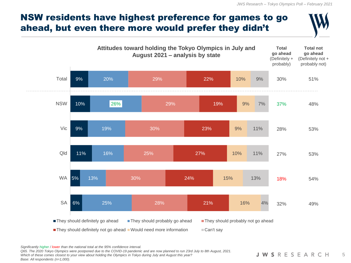#### NSW residents have highest preference for games to go ahead, but even there more would prefer they didn't



*Significantly higher / lower than the national total at the 95% confidence interval.* 

*Q65. The 2020 Tokyo Olympics were postponed due to the COVID-19 pandemic and are now planned to run 23rd July to 8th August, 2021.* 

*Which of these comes closest to your view about holding the Olympics in Tokyo during July and August this year? Base: All respondents (n=1,000).*

**JWSRESEARCH**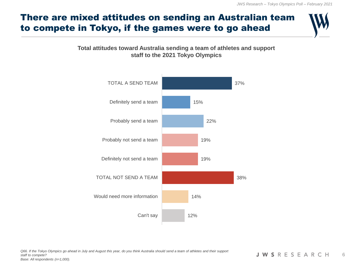## There are mixed attitudes on sending an Australian team to compete in Tokyo, if the games were to go ahead

#### **Total attitudes toward Australia sending a team of athletes and support staff to the 2021 Tokyo Olympics**

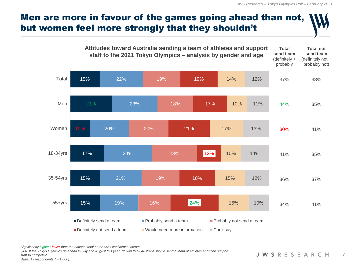

*Significantly higher / lower than the national total at the 95% confidence interval.* 

*Q66. If the Tokyo Olympics go ahead in July and August this year, do you think Australia should send a team of athletes and their support staff to compete? Base: All respondents (n=1,000).*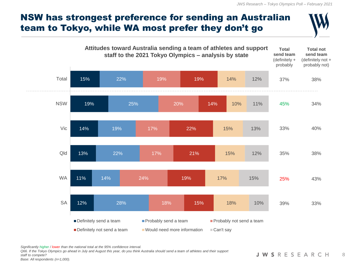## NSW has strongest preference for sending an Australian team to Tokyo, while WA most prefer they don't go



*Significantly higher / lower than the national total at the 95% confidence interval.* 

*Q66. If the Tokyo Olympics go ahead in July and August this year, do you think Australia should send a team of athletes and their support staff to compete? Base: All respondents (n=1,000).*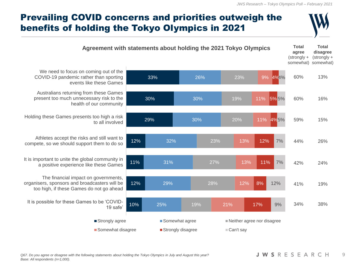## Prevailing COVID concerns and priorities outweigh the benefits of holding the Tokyo Olympics in 2021

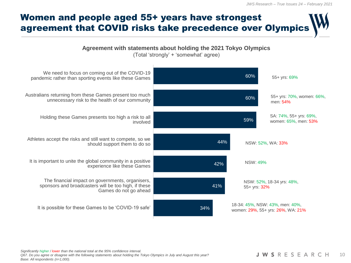

*Significantly higher / lower than the national total at the 95% confidence interval. Q67. Do you agree or disagree with the following statements about holding the Tokyo Olympics in July and August this year? Base: All respondents (n=1,000).*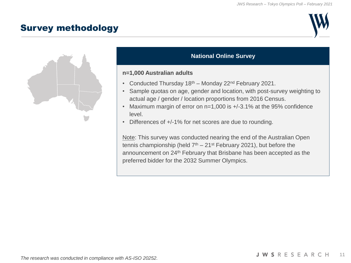#### Survey methodology





#### **National Online Survey**

#### **n=1,000 Australian adults**

- Conducted Thursday  $18<sup>th</sup>$  Monday 22<sup>nd</sup> February 2021.
- Sample quotas on age, gender and location, with post-survey weighting to actual age / gender / location proportions from 2016 Census.
- Maximum margin of error on n=1,000 is +/-3.1% at the 95% confidence level.
- Differences of +/-1% for net scores are due to rounding.

Note: This survey was conducted nearing the end of the Australian Open tennis championship (held  $7<sup>th</sup> - 21<sup>st</sup>$  February 2021), but before the announcement on 24<sup>th</sup> February that Brisbane has been accepted as the preferred bidder for the 2032 Summer Olympics.